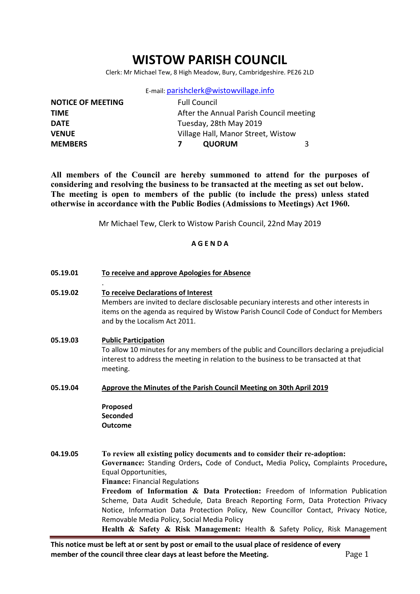# WISTOW PARISH COUNCIL

Clerk: Mr Michael Tew, 8 High Meadow, Bury, Cambridgeshire. PE26 2LD

E-mail: parishclerk@wistowvillage.info

| <b>NOTICE OF MEETING</b> | <b>Full Council</b>                     |   |
|--------------------------|-----------------------------------------|---|
| <b>TIME</b>              | After the Annual Parish Council meeting |   |
| <b>DATE</b>              | Tuesday, 28th May 2019                  |   |
| <b>VENUE</b>             | Village Hall, Manor Street, Wistow      |   |
| <b>MEMBERS</b>           | <b>QUORUM</b>                           | 3 |

All members of the Council are hereby summoned to attend for the purposes of considering and resolving the business to be transacted at the meeting as set out below. The meeting is open to members of the public (to include the press) unless stated otherwise in accordance with the Public Bodies (Admissions to Meetings) Act 1960.

Mr Michael Tew, Clerk to Wistow Parish Council, 22nd May 2019

### A G E N D A

05.19.01 To receive and approve Apologies for Absence

#### 05.19.02 To receive Declarations of Interest

Members are invited to declare disclosable pecuniary interests and other interests in items on the agenda as required by Wistow Parish Council Code of Conduct for Members and by the Localism Act 2011.

#### 05.19.03 Public Participation

.

To allow 10 minutes for any members of the public and Councillors declaring a prejudicial interest to address the meeting in relation to the business to be transacted at that meeting.

05.19.04 Approve the Minutes of the Parish Council Meeting on 30th April 2019

Proposed **Seconded** Outcome

04.19.05 To review all existing policy documents and to consider their re-adoption:

Governance: Standing Orders, Code of Conduct, Media Policy, Complaints Procedure, Equal Opportunities,

Finance: Financial Regulations

Freedom of Information & Data Protection: Freedom of Information Publication Scheme, Data Audit Schedule, Data Breach Reporting Form, Data Protection Privacy Notice, Information Data Protection Policy, New Councillor Contact, Privacy Notice, Removable Media Policy, Social Media Policy

Health & Safety & Risk Management: Health & Safety Policy, Risk Management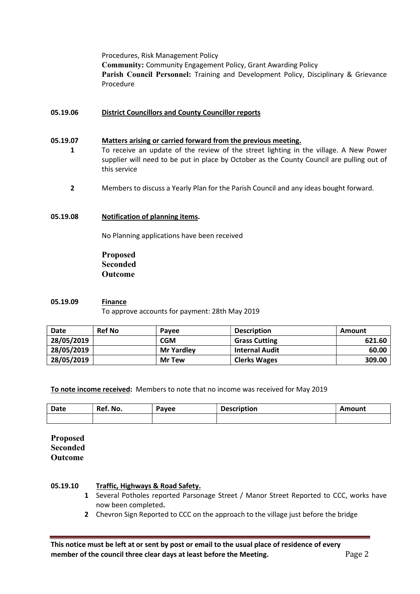Procedures, Risk Management Policy Community: Community Engagement Policy, Grant Awarding Policy Parish Council Personnel: Training and Development Policy, Disciplinary & Grievance Procedure

#### 05.19.06 District Councillors and County Councillor reports

#### 05.19.07 Matters arising or carried forward from the previous meeting.

- 1 To receive an update of the review of the street lighting in the village. A New Power supplier will need to be put in place by October as the County Council are pulling out of this service
	- 2 Members to discuss a Yearly Plan for the Parish Council and any ideas bought forward.

#### 05.19.08 Notification of planning items.

No Planning applications have been received

Proposed Seconded Outcome

#### 05.19.09 Finance

To approve accounts for payment: 28th May 2019

| <b>Date</b> | <b>Ref No</b> | Pavee             | <b>Description</b>    | Amount |
|-------------|---------------|-------------------|-----------------------|--------|
| 28/05/2019  |               | <b>CGM</b>        | <b>Grass Cutting</b>  | 621.60 |
| 28/05/2019  |               | <b>Mr Yardley</b> | <b>Internal Audit</b> | 60.00  |
| 28/05/2019  |               | <b>Mr Tew</b>     | <b>Clerks Wages</b>   | 309.00 |

To note income received: Members to note that no income was received for May 2019

| Date | Ref. No. | Payee | <b>Description</b> | Amount |
|------|----------|-------|--------------------|--------|
|      |          |       |                    |        |

Proposed Seconded Outcome

#### 05.19.10 Traffic, Highways & Road Safety.

- 1 Several Potholes reported Parsonage Street / Manor Street Reported to CCC, works have now been completed.
- 2 Chevron Sign Reported to CCC on the approach to the village just before the bridge